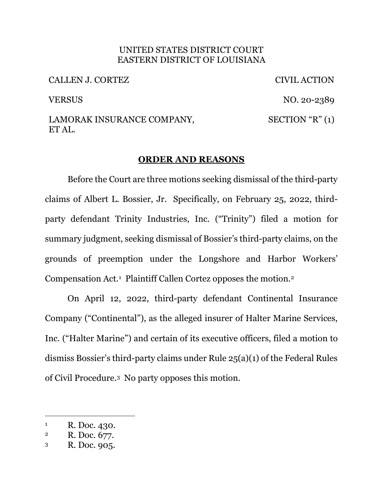#### UNITED STATES DISTRICT COURT EASTERN DISTRICT OF LOUISIANA

CALLEN J. CORTEZ CIVIL ACTION

VERSUS NO. 20-2389  $SECTION "R" (1)$ 

## LAMORAK INSURANCE COMPANY, ET AL.

# **ORDER AND REASONS**

Before the Court are three motions seeking dismissal of the third-party claims of Albert L. Bossier, Jr. Specifically, on February 25, 2022, thirdparty defendant Trinity Industries, Inc. ("Trinity") filed a motion for summary judgment, seeking dismissal of Bossier's third-party claims, on the grounds of preemption under the Longshore and Harbor Workers' Compensation Act.1 Plaintiff Callen Cortez opposes the motion.2

On April 12, 2022, third-party defendant Continental Insurance Company ("Continental"), as the alleged insurer of Halter Marine Services, Inc. ("Halter Marine") and certain of its executive officers, filed a motion to dismiss Bossier's third-party claims under Rule 25(a)(1) of the Federal Rules of Civil Procedure.3 No party opposes this motion.

 $R.$  Doc. 430.

<sup>2</sup> R. Doc. 677.

<sup>3</sup> R. Doc. 905.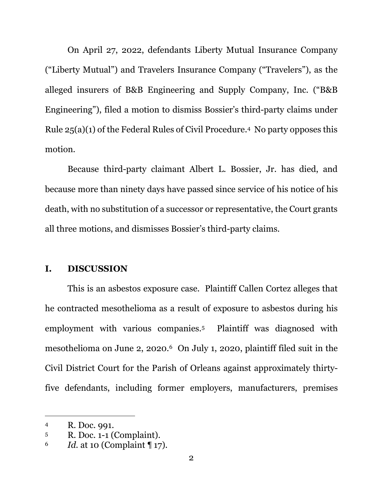On April 27, 2022, defendants Liberty Mutual Insurance Company ("Liberty Mutual") and Travelers Insurance Company ("Travelers"), as the alleged insurers of B&B Engineering and Supply Company, Inc. ("B&B Engineering"), filed a motion to dismiss Bossier's third-party claims under Rule 25(a)(1) of the Federal Rules of Civil Procedure.4 No party opposes this motion.

Because third-party claimant Albert L. Bossier, Jr. has died, and because more than ninety days have passed since service of his notice of his death, with no substitution of a successor or representative, the Court grants all three motions, and dismisses Bossier's third-party claims.

### **I. DISCUSSION**

This is an asbestos exposure case. Plaintiff Callen Cortez alleges that he contracted mesothelioma as a result of exposure to asbestos during his employment with various companies.<sup>5</sup> Plaintiff was diagnosed with mesothelioma on June 2, 2020.6 On July 1, 2020, plaintiff filed suit in the Civil District Court for the Parish of Orleans against approximately thirtyfive defendants, including former employers, manufacturers, premises

<sup>4</sup> R. Doc. 991.

<sup>5</sup> R. Doc. 1-1 (Complaint).

<sup>6</sup> *Id.* at 10 (Complaint ¶ 17).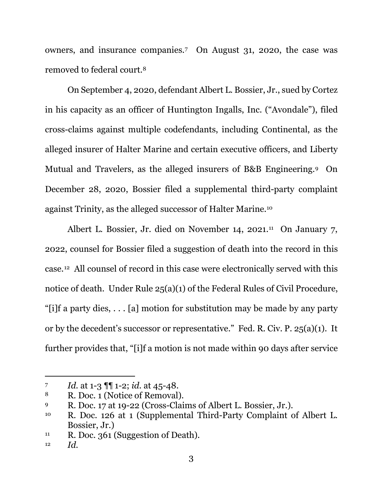owners, and insurance companies.7 On August 31, 2020, the case was removed to federal court.8

On September 4, 2020, defendant Albert L. Bossier, Jr., sued by Cortez in his capacity as an officer of Huntington Ingalls, Inc. ("Avondale"), filed cross-claims against multiple codefendants, including Continental, as the alleged insurer of Halter Marine and certain executive officers, and Liberty Mutual and Travelers, as the alleged insurers of B&B Engineering.9 On December 28, 2020, Bossier filed a supplemental third-party complaint against Trinity, as the alleged successor of Halter Marine.10

Albert L. Bossier, Jr. died on November 14, 2021.<sup>11</sup> On January 7, 2022, counsel for Bossier filed a suggestion of death into the record in this case.12 All counsel of record in this case were electronically served with this notice of death. Under Rule 25(a)(1) of the Federal Rules of Civil Procedure, "[i]f a party dies, . . . [a] motion for substitution may be made by any party or by the decedent's successor or representative." Fed. R. Civ. P. 25(a)(1). It further provides that, "[i]f a motion is not made within 90 days after service

<sup>7</sup> *Id.* at 1-3 ¶¶ 1-2; *id.* at 45-48.

<sup>8</sup> R. Doc. 1 (Notice of Removal).

<sup>9</sup> R. Doc. 17 at 19-22 (Cross-Claims of Albert L. Bossier, Jr.).

<sup>10</sup> R. Doc. 126 at 1 (Supplemental Third-Party Complaint of Albert L. Bossier, Jr.)

<sup>&</sup>lt;sup>11</sup> R. Doc. 361 (Suggestion of Death).

<sup>12</sup> *Id.*